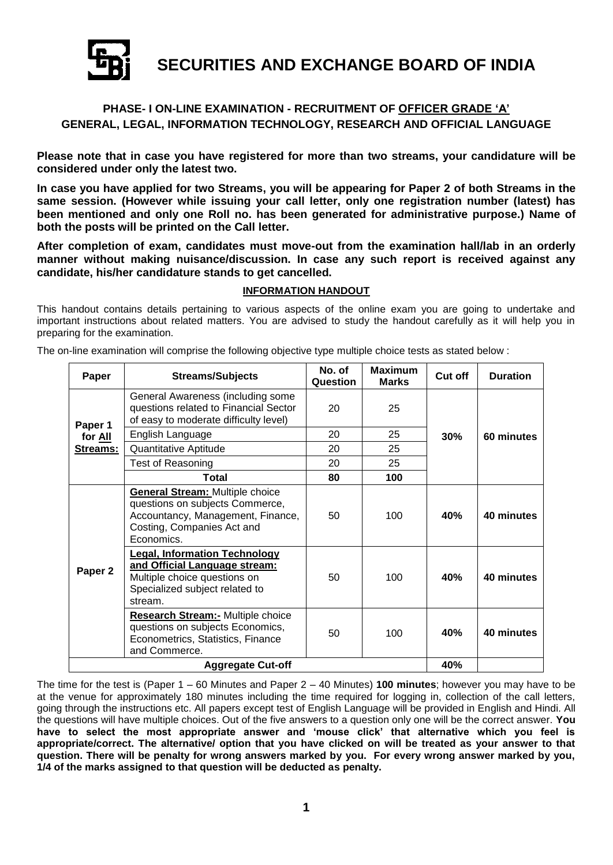

**SECURITIES AND EXCHANGE BOARD OF INDIA**

# **PHASE- I ON-LINE EXAMINATION - RECRUITMENT OF OFFICER GRADE 'A' GENERAL, LEGAL, INFORMATION TECHNOLOGY, RESEARCH AND OFFICIAL LANGUAGE**

**Please note that in case you have registered for more than two streams, your candidature will be considered under only the latest two.**

**In case you have applied for two Streams, you will be appearing for Paper 2 of both Streams in the same session. (However while issuing your call letter, only one registration number (latest) has been mentioned and only one Roll no. has been generated for administrative purpose.) Name of both the posts will be printed on the Call letter.**

**After completion of exam, candidates must move-out from the examination hall/lab in an orderly manner without making nuisance/discussion. In case any such report is received against any candidate, his/her candidature stands to get cancelled.**

# **INFORMATION HANDOUT**

This handout contains details pertaining to various aspects of the online exam you are going to undertake and important instructions about related matters. You are advised to study the handout carefully as it will help you in preparing for the examination.

**Paper Streams/Subjects No. of No. of Question Maximum Marks Cut off Duration Paper 1 for All Streams:** General Awareness (including some questions related to Financial Sector of easy to moderate difficulty level) 20 25 English Language 20 25 30% 60 minutes<br>Quantitative Aptitude 20 25 25 Quantitative Aptitude Test of Reasoning Test of 20 25 **Total 80 100 Paper 2 General Stream:** Multiple choice questions on subjects Commerce, Accountancy, Management, Finance, Costing, Companies Act and Economics. 50 100 **40% 40 minutes Legal, Information Technology and Official Language stream:** Multiple choice questions on Specialized subject related to stream. 50 100 **40% 40 minutes Research Stream:-** Multiple choice questions on subjects Economics, Econometrics, Statistics, Finance and Commerce. 50 100 **40% 40 minutes**

The on-line examination will comprise the following objective type multiple choice tests as stated below :

The time for the test is (Paper 1 – 60 Minutes and Paper 2 – 40 Minutes) **100 minutes**; however you may have to be at the venue for approximately 180 minutes including the time required for logging in, collection of the call letters, going through the instructions etc. All papers except test of English Language will be provided in English and Hindi. All the questions will have multiple choices. Out of the five answers to a question only one will be the correct answer. **You have to select the most appropriate answer and 'mouse click' that alternative which you feel is appropriate/correct. The alternative/ option that you have clicked on will be treated as your answer to that question. There will be penalty for wrong answers marked by you. For every wrong answer marked by you, 1/4 of the marks assigned to that question will be deducted as penalty.**

**Aggregate Cut-off 40%**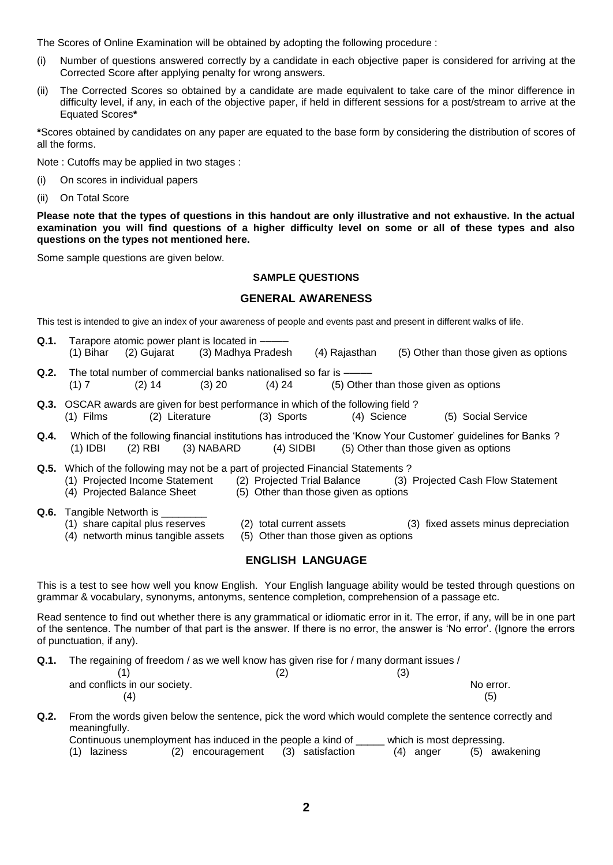The Scores of Online Examination will be obtained by adopting the following procedure :

- (i) Number of questions answered correctly by a candidate in each objective paper is considered for arriving at the Corrected Score after applying penalty for wrong answers.
- (ii) The Corrected Scores so obtained by a candidate are made equivalent to take care of the minor difference in difficulty level, if any, in each of the objective paper, if held in different sessions for a post/stream to arrive at the Equated Scores**\***

**\***Scores obtained by candidates on any paper are equated to the base form by considering the distribution of scores of all the forms.

Note : Cutoffs may be applied in two stages :

(i) On scores in individual papers

(ii) On Total Score

**Please note that the types of questions in this handout are only illustrative and not exhaustive. In the actual examination you will find questions of a higher difficulty level on some or all of these types and also questions on the types not mentioned here.**

Some sample questions are given below.

## **SAMPLE QUESTIONS**

## **GENERAL AWARENESS**

This test is intended to give an index of your awareness of people and events past and present in different walks of life.

| Q.1. |           | Tarapore atomic power plant is located in ----                 |          |          |                                                                                          |                                       |                                       |  |
|------|-----------|----------------------------------------------------------------|----------|----------|------------------------------------------------------------------------------------------|---------------------------------------|---------------------------------------|--|
|      | (1) Bihar | (2) Gujarat (3) Madhya Pradesh                                 |          |          | (4) Rajasthan                                                                            |                                       | (5) Other than those given as options |  |
| Q.2. |           | The total number of commercial banks nationalised so far is —— |          |          |                                                                                          |                                       |                                       |  |
|      | (1) 7     | $(2)$ 14                                                       | $(3)$ 20 | $(4)$ 24 |                                                                                          | (5) Other than those given as options |                                       |  |
|      |           |                                                                |          |          | <b>Q.3.</b> OSCAR awards are given for best performance in which of the following field? |                                       |                                       |  |
|      |           | (1) Films (2) Literature                                       |          |          | (3) Sports (4) Science                                                                   |                                       | (5) Social Service                    |  |

- **Q.4.** Which of the following financial institutions has introduced the 'Know Your Customer' guidelines for Banks ? (1) IDBI (2) RBI (3) NABARD (4) SIDBI (5) Other than those given as options
- **Q.5.** Which of the following may not be a part of projected Financial Statements ? (1) Projected Income Statement (2) Projected Trial Balance (3) Projected Cash Flow Statement
	- (4) Projected Balance Sheet (5) Other than those given as options

## **Q.6.** Tangible Networth is

- (1) share capital plus reserves (2) total current assets (3) fixed assets minus depreciation
	-
- (4) networth minus tangible assets (5) Other than those given as options

# **ENGLISH LANGUAGE**

This is a test to see how well you know English. Your English language ability would be tested through questions on grammar & vocabulary, synonyms, antonyms, sentence completion, comprehension of a passage etc.

Read sentence to find out whether there is any grammatical or idiomatic error in it. The error, if any, will be in one part of the sentence. The number of that part is the answer. If there is no error, the answer is 'No error'. (Ignore the errors of punctuation, if any).

**Q.1.** The regaining of freedom / as we well know has given rise for / many dormant issues /

|                               | (3) |           |
|-------------------------------|-----|-----------|
| and conflicts in our society. |     | No error. |
|                               |     | (5)       |

**Q.2.** From the words given below the sentence, pick the word which would complete the sentence correctly and meaningfully.

| Continuous unemployment has induced in the people a kind of<br>which is most depressing.<br>(5) awakening<br>(2) encouragement<br>(3) satisfaction<br>(4) anger |  |  |  |  |  |  |  |  |
|-----------------------------------------------------------------------------------------------------------------------------------------------------------------|--|--|--|--|--|--|--|--|
| (1) laziness                                                                                                                                                    |  |  |  |  |  |  |  |  |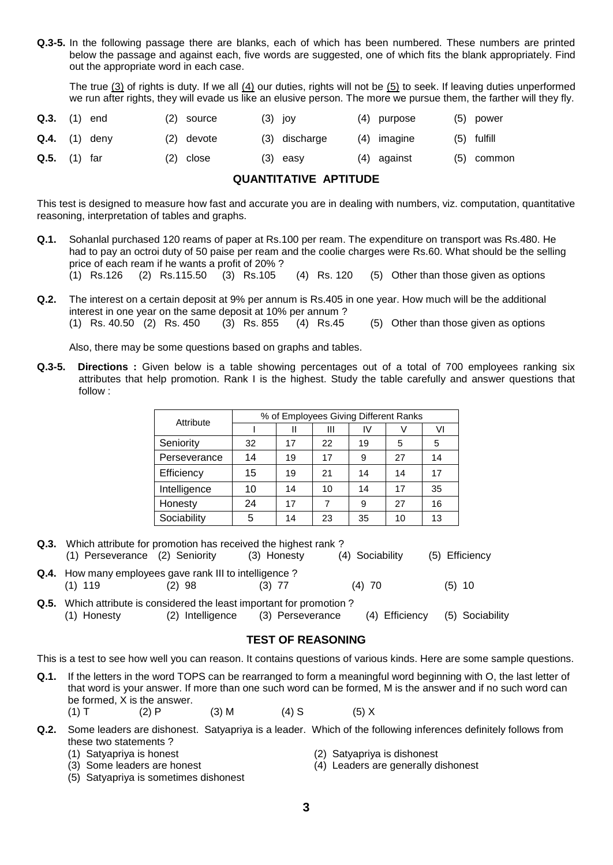**Q.3-5.** In the following passage there are blanks, each of which has been numbered. These numbers are printed below the passage and against each, five words are suggested, one of which fits the blank appropriately. Find out the appropriate word in each case.

The true (3) of rights is duty. If we all (4) our duties, rights will not be (5) to seek. If leaving duties unperformed we run after rights, they will evade us like an elusive person. The more we pursue them, the farther will they fly.

| $Q.3.$ (1) end |                 | (2) source | $(3)$ joy     | (4) purpose | $(5)$ power   |
|----------------|-----------------|------------|---------------|-------------|---------------|
|                | $Q.4.$ (1) deny | (2) devote | (3) discharge | (4) imagine | $(5)$ fulfill |
| $Q.5.$ (1) far |                 | (2) close  | $(3)$ easy    | (4) against | (5) common    |

# **QUANTITATIVE APTITUDE**

This test is designed to measure how fast and accurate you are in dealing with numbers, viz. computation, quantitative reasoning, interpretation of tables and graphs.

- **Q.1.** Sohanlal purchased 120 reams of paper at Rs.100 per ream. The expenditure on transport was Rs.480. He had to pay an octroi duty of 50 paise per ream and the coolie charges were Rs.60. What should be the selling price of each ream if he wants a profit of 20% ?
	- (1) Rs.126 (2) Rs.115.50 (3) Rs.105 (4) Rs. 120 (5) Other than those given as options
- **Q.2.** The interest on a certain deposit at 9% per annum is Rs.405 in one year. How much will be the additional interest in one year on the same deposit at 10% per annum ? (1) Rs. 40.50 (2) Rs. 450 (3) Rs. 855 (4) Rs.45 (5) Other than those given as options

Also, there may be some questions based on graphs and tables.

**Q.3-5. Directions :** Given below is a table showing percentages out of a total of 700 employees ranking six attributes that help promotion. Rank I is the highest. Study the table carefully and answer questions that follow :

|              | % of Employees Giving Different Ranks |    |    |    |    |    |  |  |
|--------------|---------------------------------------|----|----|----|----|----|--|--|
| Attribute    |                                       |    | Ш  | IV |    | VI |  |  |
| Seniority    | 32                                    | 17 | 22 | 19 | 5  | 5  |  |  |
| Perseverance | 14                                    | 19 | 17 | 9  | 27 | 14 |  |  |
| Efficiency   | 15                                    | 19 | 21 | 14 | 14 | 17 |  |  |
| Intelligence | 10                                    | 14 | 10 | 14 | 17 | 35 |  |  |
| Honesty      | 24                                    | 17 | 7  | 9  | 27 | 16 |  |  |
| Sociability  | 5                                     | 14 | 23 | 35 | 10 | 13 |  |  |

- **Q.3.** Which attribute for promotion has received the highest rank ? (1) Perseverance (2) Seniority (3) Honesty (4) Sociability (5) Efficiency
- **Q.4.** How many employees gave rank III to intelligence ? (1) 119 (2) 98 (3) 77 (4) 70 (5) 10
- **Q.5.** Which attribute is considered the least important for promotion ? (1) Honesty (2) Intelligence (3) Perseverance (4) Efficiency (5) Sociability

## **TEST OF REASONING**

This is a test to see how well you can reason. It contains questions of various kinds. Here are some sample questions.

- **Q.1.** If the letters in the word TOPS can be rearranged to form a meaningful word beginning with O, the last letter of that word is your answer. If more than one such word can be formed, M is the answer and if no such word can be formed, X is the answer.
	- (1) T (2) P (3) M (4) S (5) X
- **Q.2.** Some leaders are dishonest. Satyapriya is a leader. Which of the following inferences definitely follows from these two statements ?
	-
	-
	- (1) Satyapriya is honest (2) Satyapriya is dishonest
	- (3) Some leaders are honest (4) Leaders are generally dishonest
	- (5) Satyapriya is sometimes dishonest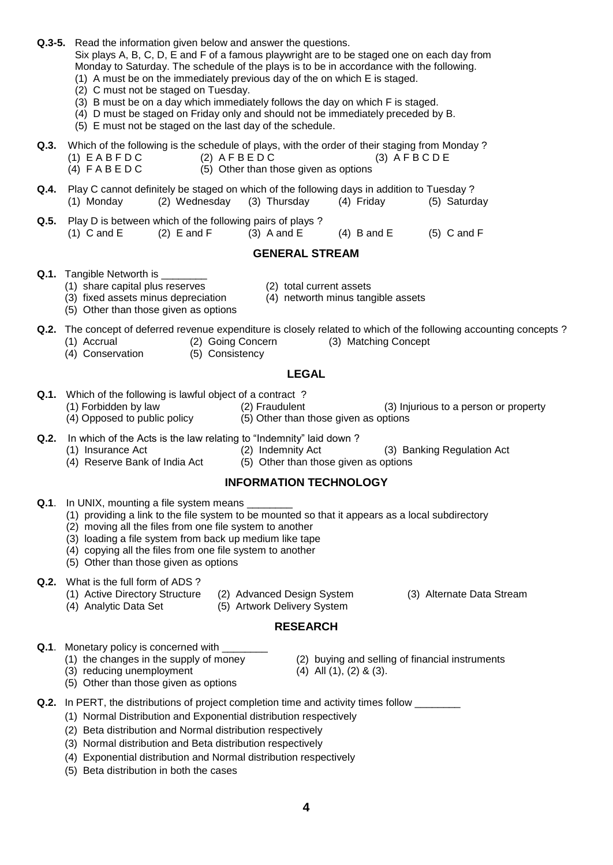- **Q.3-5.** Read the information given below and answer the questions. Six plays A, B, C, D, E and F of a famous playwright are to be staged one on each day from Monday to Saturday. The schedule of the plays is to be in accordance with the following. (1) A must be on the immediately previous day of the on which E is staged.
	- (2) C must not be staged on Tuesday.
	- (3) B must be on a day which immediately follows the day on which F is staged.
	- (4) D must be staged on Friday only and should not be immediately preceded by B.
	- (5) E must not be staged on the last day of the schedule.

**Q.3.** Which of the following is the schedule of plays, with the order of their staging from Monday ?  $(1)$  E A B F D C  $(2)$  A F B E D C  $(3)$  A F B C D E (4)  $F \land B \in D C$  (5) Other than those given as options

**Q.4.** Play C cannot definitely be staged on which of the following days in addition to Tuesday ? (1) Monday (2) Wednesday (3) Thursday (4) Friday (5) Saturday

**Q.5.** Play D is between which of the following pairs of plays ? (1) C and E (2) E and F (3) A and E (4) B and E (5) C and F

# **GENERAL STREAM**

**Q.1.** Tangible Networth is

(1) share capital plus reserves (2) total current assets

(5) Other than those given as options

- 
- (3) fixed assets minus depreciation (4) networth minus tangible assets

**Q.2.** The concept of deferred revenue expenditure is closely related to which of the following accounting concepts ?

- (1) Accrual (2) Going Concern (3) Matching Concept
- (4) Conservation (5) Consistency
	-

## **LEGAL**

- **Q.1.** Which of the following is lawful object of a contract ?
	-

- **Q.2.** In which of the Acts is the law relating to "Indemnity" laid down ?<br>(1) Insurance Act (2) Indemnity Act
	-
- (3) Banking Regulation Act
	-

# **INFORMATION TECHNOLOGY**

- **Q.1**. In UNIX, mounting a file system means
	- (1) providing a link to the file system to be mounted so that it appears as a local subdirectory
	- (2) moving all the files from one file system to another
	- (3) loading a file system from back up medium like tape
	- (4) copying all the files from one file system to another
	- (5) Other than those given as options

## **Q.2.** What is the full form of ADS ?

- (1) Active Directory Structure (2) Advanced Design System (3) Alternate Data Stream
- (4) Analytic Data Set (5) Artwork Delivery System
- 
- 

# **RESEARCH**

- **Q.1**. Monetary policy is concerned with
	- (1) the changes in the supply of money (2) buying and selling of financial instruments
		- (3) reducing unemployment  $(4)$  All  $(1)$ ,  $(2)$  &  $(3)$ .
- -
- 
- (5) Other than those given as options
- **Q.2.** In PERT, the distributions of project completion time and activity times follow
	- (1) Normal Distribution and Exponential distribution respectively
	- (2) Beta distribution and Normal distribution respectively
	- (3) Normal distribution and Beta distribution respectively
	- (4) Exponential distribution and Normal distribution respectively
	- (5) Beta distribution in both the cases

- 
- (1) Forbidden by law (2) Fraudulent (3) Injurious to a person or property
- (4) Opposed to public policy (5) Other than those given as options
	-
	-
- (4) Reserve Bank of India Act (5) Other than those given as options
	- -
		-
	-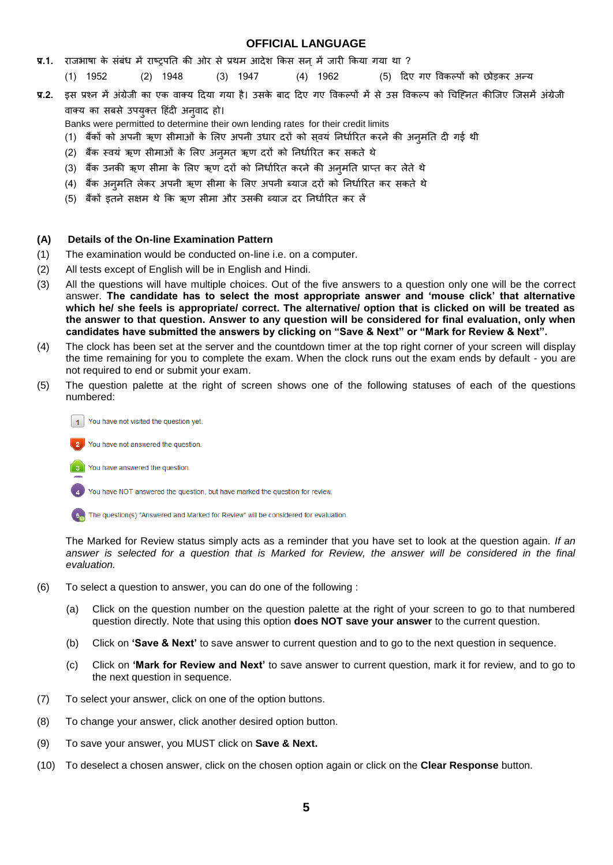## **OFFICIAL LANGUAGE**

- **प्र.1.** राजभाषा के संबंध में राष्ट्रपति की ओर से प्रथम आदेश किस सन में जारी किया गया था ?
	- (1) 1952 (2) 1948 (3) 1947 (4) 1962 (5)
- **प्र.2.** इस प्रश्न में अंग्रेजी का एक वाक्य दिया गया है। उसके बाद दिए गए विकल्पों में से उस विकल्प को चिह्नित कीजिए जिसमें अंग्रेजी वाक्य का सबसे उपयुक्त हिंदी अनवाद हो।
	- Banks were permitted to determine their own lending rates for their credit limits
	- (1) बैंकों को अपनी ऋण सीमाओं के लिए अपनी उधार दरों को सवयं निर्धारित करने की अनमति दी गई थी
	- (2) बैंक स्वयं ऋण सीमाओं के लिए अन्*मत ऋण दरों को निर्धारित कर सकते* थे
	- (3) बैंक उनकी ऋण सीमा के लिए ऋण दरों को निर्धारित करने की अन्मति प्राप्त कर लेते थे
	- (4) बैंक अनुमति लेकर अपनी ऋण सीमा के लिए अपनी ब्याज दरों को निर्धारित कर सकते थे
	- (5) बैंकों इतने सक्षम थे कि ऋण सीमा और उसकी ब्याज दर निर्धारित कर लें

## **(A) Details of the On-line Examination Pattern**

- (1) The examination would be conducted on-line i.e. on a computer.
- (2) All tests except of English will be in English and Hindi.
- (3) All the questions will have multiple choices. Out of the five answers to a question only one will be the correct answer. **The candidate has to select the most appropriate answer and 'mouse click' that alternative which he/ she feels is appropriate/ correct. The alternative/ option that is clicked on will be treated as the answer to that question. Answer to any question will be considered for final evaluation, only when candidates have submitted the answers by clicking on "Save & Next" or "Mark for Review & Next".**
- (4) The clock has been set at the server and the countdown timer at the top right corner of your screen will display the time remaining for you to complete the exam. When the clock runs out the exam ends by default - you are not required to end or submit your exam.
- (5) The question palette at the right of screen shows one of the following statuses of each of the questions numbered:



You have not answered the question

You have answered the question.  $\mathbf{a}$ 

You have NOT answered the question, but have marked the question for review.

The question(s) "Answered and Marked for Review" will be considered for evaluation.

The Marked for Review status simply acts as a reminder that you have set to look at the question again. *If an answer is selected for a question that is Marked for Review, the answer will be considered in the final evaluation.*

- (6) To select a question to answer, you can do one of the following :
	- (a) Click on the question number on the question palette at the right of your screen to go to that numbered question directly. Note that using this option **does NOT save your answer** to the current question.
	- (b) Click on **'Save & Next'** to save answer to current question and to go to the next question in sequence.
	- (c) Click on **'Mark for Review and Next'** to save answer to current question, mark it for review, and to go to the next question in sequence.
- (7) To select your answer, click on one of the option buttons.
- (8) To change your answer, click another desired option button.
- (9) To save your answer, you MUST click on **Save & Next.**
- (10) To deselect a chosen answer, click on the chosen option again or click on the **Clear Response** button.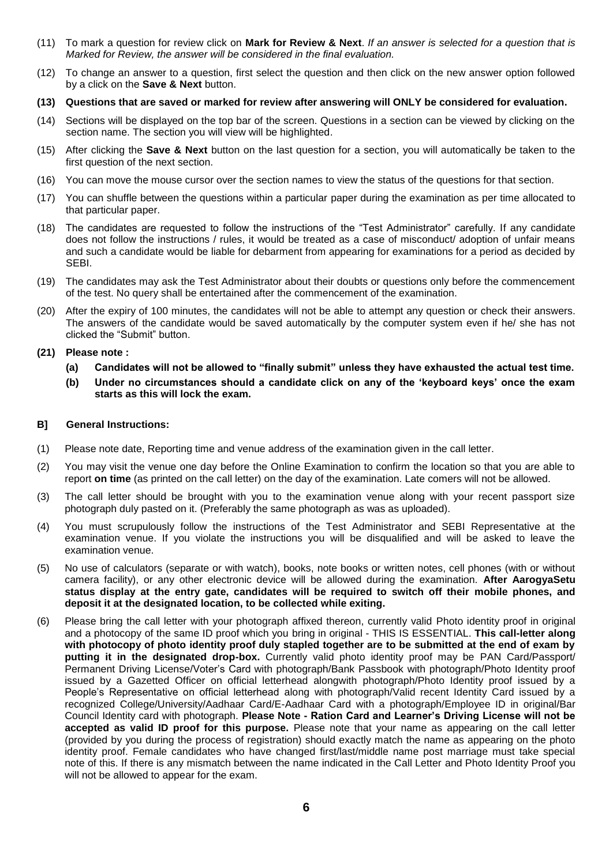- (11) To mark a question for review click on **Mark for Review & Next**. *If an answer is selected for a question that is Marked for Review, the answer will be considered in the final evaluation.*
- (12) To change an answer to a question, first select the question and then click on the new answer option followed by a click on the **Save & Next** button.
- **(13) Questions that are saved or marked for review after answering will ONLY be considered for evaluation.**
- (14) Sections will be displayed on the top bar of the screen. Questions in a section can be viewed by clicking on the section name. The section you will view will be highlighted.
- (15) After clicking the **Save & Next** button on the last question for a section, you will automatically be taken to the first question of the next section.
- (16) You can move the mouse cursor over the section names to view the status of the questions for that section.
- (17) You can shuffle between the questions within a particular paper during the examination as per time allocated to that particular paper.
- (18) The candidates are requested to follow the instructions of the "Test Administrator" carefully. If any candidate does not follow the instructions / rules, it would be treated as a case of misconduct/ adoption of unfair means and such a candidate would be liable for debarment from appearing for examinations for a period as decided by SEBI.
- (19) The candidates may ask the Test Administrator about their doubts or questions only before the commencement of the test. No query shall be entertained after the commencement of the examination.
- (20) After the expiry of 100 minutes, the candidates will not be able to attempt any question or check their answers. The answers of the candidate would be saved automatically by the computer system even if he/ she has not clicked the "Submit" button.

## **(21) Please note :**

- **(a) Candidates will not be allowed to "finally submit" unless they have exhausted the actual test time.**
- **(b) Under no circumstances should a candidate click on any of the 'keyboard keys' once the exam starts as this will lock the exam.**

## **B] General Instructions:**

- (1) Please note date, Reporting time and venue address of the examination given in the call letter.
- (2) You may visit the venue one day before the Online Examination to confirm the location so that you are able to report **on time** (as printed on the call letter) on the day of the examination. Late comers will not be allowed.
- (3) The call letter should be brought with you to the examination venue along with your recent passport size photograph duly pasted on it. (Preferably the same photograph as was as uploaded).
- (4) You must scrupulously follow the instructions of the Test Administrator and SEBI Representative at the examination venue. If you violate the instructions you will be disqualified and will be asked to leave the examination venue.
- (5) No use of calculators (separate or with watch), books, note books or written notes, cell phones (with or without camera facility), or any other electronic device will be allowed during the examination. **After AarogyaSetu status display at the entry gate, candidates will be required to switch off their mobile phones, and deposit it at the designated location, to be collected while exiting.**
- (6) Please bring the call letter with your photograph affixed thereon, currently valid Photo identity proof in original and a photocopy of the same ID proof which you bring in original - THIS IS ESSENTIAL. **This call-letter along with photocopy of photo identity proof duly stapled together are to be submitted at the end of exam by putting it in the designated drop-box.** Currently valid photo identity proof may be PAN Card/Passport/ Permanent Driving License/Voter's Card with photograph/Bank Passbook with photograph/Photo Identity proof issued by a Gazetted Officer on official letterhead alongwith photograph/Photo Identity proof issued by a People's Representative on official letterhead along with photograph/Valid recent Identity Card issued by a recognized College/University/Aadhaar Card/E-Aadhaar Card with a photograph/Employee ID in original/Bar Council Identity card with photograph. **Please Note - Ration Card and Learner's Driving License will not be accepted as valid ID proof for this purpose.** Please note that your name as appearing on the call letter (provided by you during the process of registration) should exactly match the name as appearing on the photo identity proof. Female candidates who have changed first/last/middle name post marriage must take special note of this. If there is any mismatch between the name indicated in the Call Letter and Photo Identity Proof you will not be allowed to appear for the exam.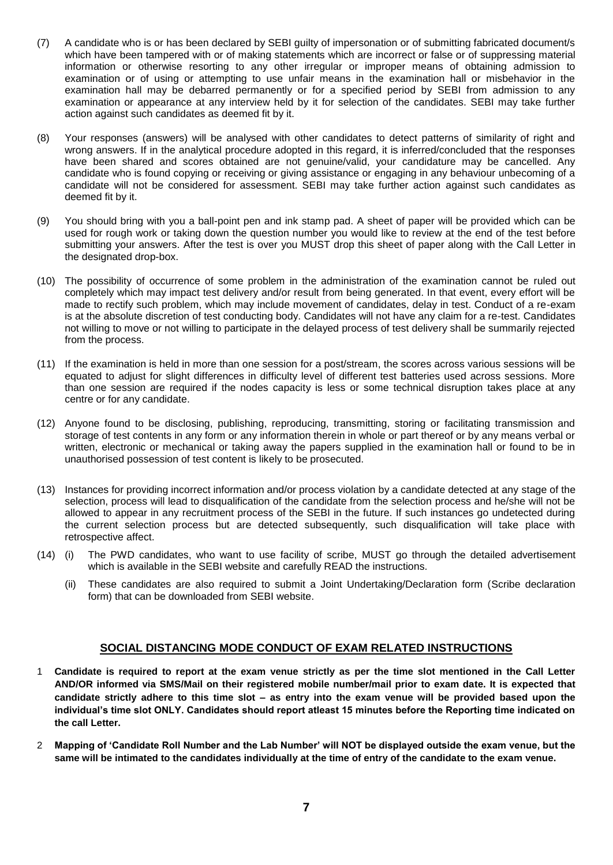- (7) A candidate who is or has been declared by SEBI guilty of impersonation or of submitting fabricated document/s which have been tampered with or of making statements which are incorrect or false or of suppressing material information or otherwise resorting to any other irregular or improper means of obtaining admission to examination or of using or attempting to use unfair means in the examination hall or misbehavior in the examination hall may be debarred permanently or for a specified period by SEBI from admission to any examination or appearance at any interview held by it for selection of the candidates. SEBI may take further action against such candidates as deemed fit by it.
- (8) Your responses (answers) will be analysed with other candidates to detect patterns of similarity of right and wrong answers. If in the analytical procedure adopted in this regard, it is inferred/concluded that the responses have been shared and scores obtained are not genuine/valid, your candidature may be cancelled. Any candidate who is found copying or receiving or giving assistance or engaging in any behaviour unbecoming of a candidate will not be considered for assessment. SEBI may take further action against such candidates as deemed fit by it.
- (9) You should bring with you a ball-point pen and ink stamp pad. A sheet of paper will be provided which can be used for rough work or taking down the question number you would like to review at the end of the test before submitting your answers. After the test is over you MUST drop this sheet of paper along with the Call Letter in the designated drop-box.
- (10) The possibility of occurrence of some problem in the administration of the examination cannot be ruled out completely which may impact test delivery and/or result from being generated. In that event, every effort will be made to rectify such problem, which may include movement of candidates, delay in test. Conduct of a re-exam is at the absolute discretion of test conducting body. Candidates will not have any claim for a re-test. Candidates not willing to move or not willing to participate in the delayed process of test delivery shall be summarily rejected from the process.
- (11) If the examination is held in more than one session for a post/stream, the scores across various sessions will be equated to adjust for slight differences in difficulty level of different test batteries used across sessions. More than one session are required if the nodes capacity is less or some technical disruption takes place at any centre or for any candidate.
- (12) Anyone found to be disclosing, publishing, reproducing, transmitting, storing or facilitating transmission and storage of test contents in any form or any information therein in whole or part thereof or by any means verbal or written, electronic or mechanical or taking away the papers supplied in the examination hall or found to be in unauthorised possession of test content is likely to be prosecuted.
- (13) Instances for providing incorrect information and/or process violation by a candidate detected at any stage of the selection, process will lead to disqualification of the candidate from the selection process and he/she will not be allowed to appear in any recruitment process of the SEBI in the future. If such instances go undetected during the current selection process but are detected subsequently, such disqualification will take place with retrospective affect.
- (14) (i) The PWD candidates, who want to use facility of scribe, MUST go through the detailed advertisement which is available in the SEBI website and carefully READ the instructions.
	- (ii) These candidates are also required to submit a Joint Undertaking/Declaration form (Scribe declaration form) that can be downloaded from SEBI website.

## **SOCIAL DISTANCING MODE CONDUCT OF EXAM RELATED INSTRUCTIONS**

- 1 **Candidate is required to report at the exam venue strictly as per the time slot mentioned in the Call Letter AND/OR informed via SMS/Mail on their registered mobile number/mail prior to exam date. It is expected that candidate strictly adhere to this time slot – as entry into the exam venue will be provided based upon the individual's time slot ONLY. Candidates should report atleast 15 minutes before the Reporting time indicated on the call Letter.**
- 2 **Mapping of 'Candidate Roll Number and the Lab Number' will NOT be displayed outside the exam venue, but the same will be intimated to the candidates individually at the time of entry of the candidate to the exam venue.**